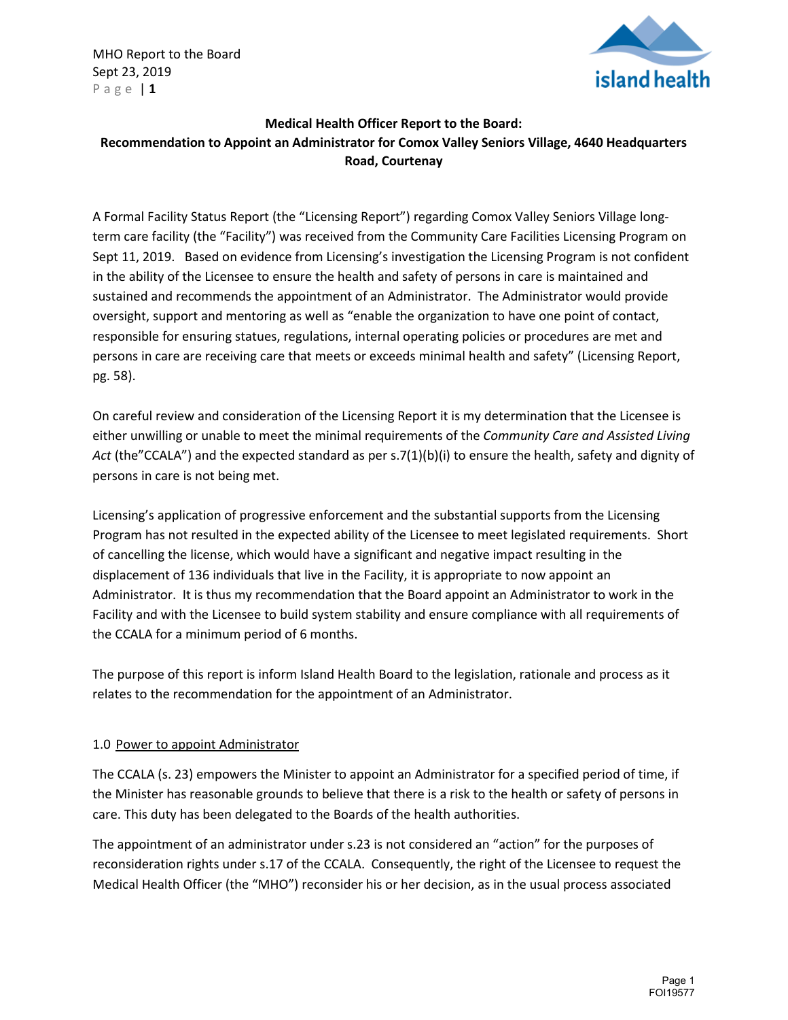MHO Report to the Board Sept 23, 2019 Page | **1** 



# **Medical Health Officer Report to the Board: Recommendation to Appoint an Administrator for Comox Valley Seniors Village, 4640 Headquarters Road, Courtenay**

A Formal Facility Status Report (the "Licensing Report") regarding Comox Valley Seniors Village longterm care facility (the "Facility") was received from the Community Care Facilities Licensing Program on Sept 11, 2019. Based on evidence from Licensing's investigation the Licensing Program is not confident in the ability of the Licensee to ensure the health and safety of persons in care is maintained and sustained and recommends the appointment of an Administrator. The Administrator would provide oversight, support and mentoring as well as "enable the organization to have one point of contact, responsible for ensuring statues, regulations, internal operating policies or procedures are met and persons in care are receiving care that meets or exceeds minimal health and safety" (Licensing Report, pg. 58).

On careful review and consideration of the Licensing Report it is my determination that the Licensee is either unwilling or unable to meet the minimal requirements of the *Community Care and Assisted Living Act* (the"CCALA") and the expected standard as per s.7(1)(b)(i) to ensure the health, safety and dignity of persons in care is not being met.

Licensing's application of progressive enforcement and the substantial supports from the Licensing Program has not resulted in the expected ability of the Licensee to meet legislated requirements. Short of cancelling the license, which would have a significant and negative impact resulting in the displacement of 136 individuals that live in the Facility, it is appropriate to now appoint an Administrator. It is thus my recommendation that the Board appoint an Administrator to work in the Facility and with the Licensee to build system stability and ensure compliance with all requirements of the CCALA for a minimum period of 6 months.

The purpose of this report is inform Island Health Board to the legislation, rationale and process as it relates to the recommendation for the appointment of an Administrator.

## 1.0 Power to appoint Administrator

The CCALA (s. 23) empowers the Minister to appoint an Administrator for a specified period of time, if the Minister has reasonable grounds to believe that there is a risk to the health or safety of persons in care. This duty has been delegated to the Boards of the health authorities.

The appointment of an administrator under s.23 is not considered an "action" for the purposes of reconsideration rights under s.17 of the CCALA. Consequently, the right of the Licensee to request the Medical Health Officer (the "MHO") reconsider his or her decision, as in the usual process associated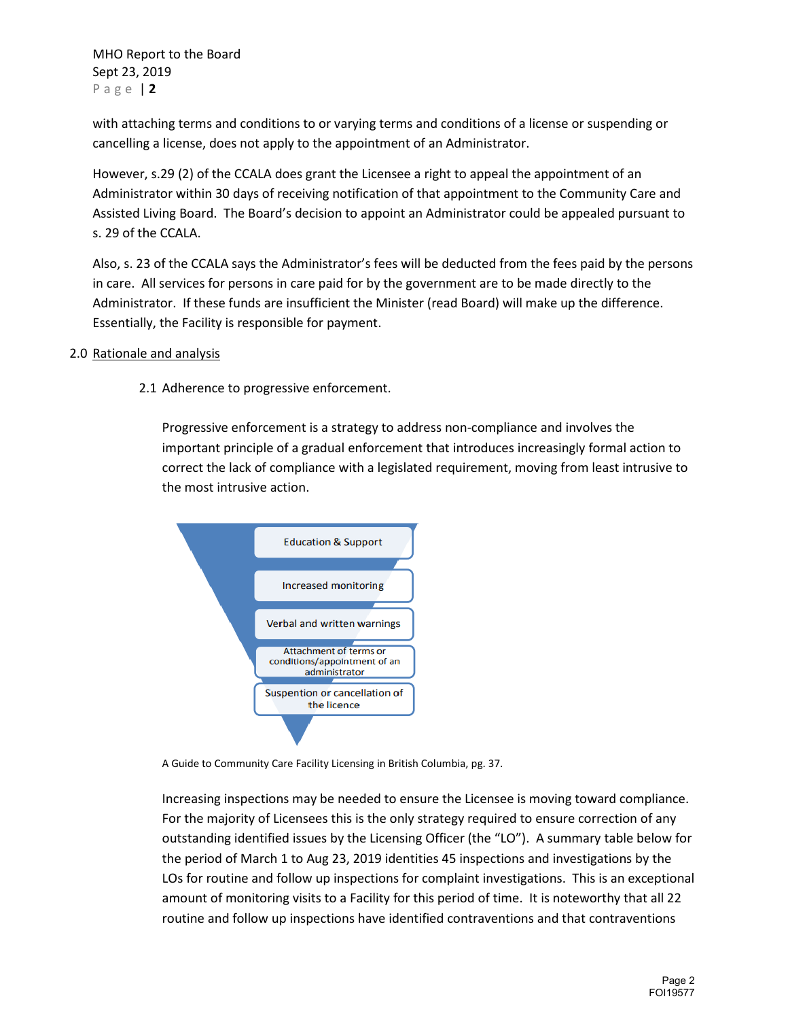MHO Report to the Board Sept 23, 2019 Page | **2** 

with attaching terms and conditions to or varying terms and conditions of a license or suspending or cancelling a license, does not apply to the appointment of an Administrator.

However, s.29 (2) of the CCALA does grant the Licensee a right to appeal the appointment of an Administrator within 30 days of receiving notification of that appointment to the Community Care and Assisted Living Board. The Board's decision to appoint an Administrator could be appealed pursuant to s. 29 of the CCALA.

Also, s. 23 of the CCALA says the Administrator's fees will be deducted from the fees paid by the persons in care. All services for persons in care paid for by the government are to be made directly to the Administrator. If these funds are insufficient the Minister (read Board) will make up the difference. Essentially, the Facility is responsible for payment.

### 2.0 Rationale and analysis

2.1 Adherence to progressive enforcement.

Progressive enforcement is a strategy to address non-compliance and involves the important principle of a gradual enforcement that introduces increasingly formal action to correct the lack of compliance with a legislated requirement, moving from least intrusive to the most intrusive action.



A Guide to Community Care Facility Licensing in British Columbia, pg. 37.

Increasing inspections may be needed to ensure the Licensee is moving toward compliance. For the majority of Licensees this is the only strategy required to ensure correction of any outstanding identified issues by the Licensing Officer (the "LO"). A summary table below for the period of March 1 to Aug 23, 2019 identities 45 inspections and investigations by the LOs for routine and follow up inspections for complaint investigations. This is an exceptional amount of monitoring visits to a Facility for this period of time. It is noteworthy that all 22 routine and follow up inspections have identified contraventions and that contraventions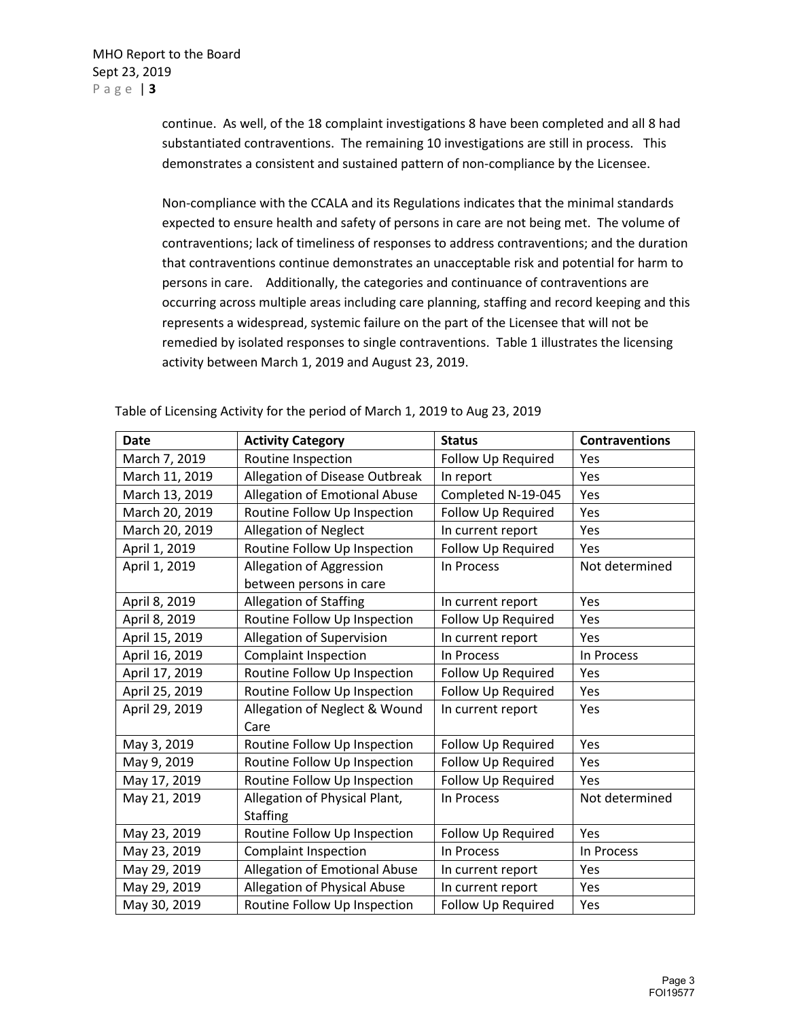continue. As well, of the 18 complaint investigations 8 have been completed and all 8 had substantiated contraventions. The remaining 10 investigations are still in process. This demonstrates a consistent and sustained pattern of non-compliance by the Licensee.

Non-compliance with the CCALA and its Regulations indicates that the minimal standards expected to ensure health and safety of persons in care are not being met. The volume of contraventions; lack of timeliness of responses to address contraventions; and the duration that contraventions continue demonstrates an unacceptable risk and potential for harm to persons in care. Additionally, the categories and continuance of contraventions are occurring across multiple areas including care planning, staffing and record keeping and this represents a widespread, systemic failure on the part of the Licensee that will not be remedied by isolated responses to single contraventions. Table 1 illustrates the licensing activity between March 1, 2019 and August 23, 2019.

| <b>Date</b>    | <b>Activity Category</b>       | <b>Status</b>      | <b>Contraventions</b> |
|----------------|--------------------------------|--------------------|-----------------------|
| March 7, 2019  | Routine Inspection             | Follow Up Required | Yes                   |
| March 11, 2019 | Allegation of Disease Outbreak | In report          | Yes                   |
| March 13, 2019 | Allegation of Emotional Abuse  | Completed N-19-045 | Yes                   |
| March 20, 2019 | Routine Follow Up Inspection   | Follow Up Required | Yes                   |
| March 20, 2019 | <b>Allegation of Neglect</b>   | In current report  | Yes                   |
| April 1, 2019  | Routine Follow Up Inspection   | Follow Up Required | Yes                   |
| April 1, 2019  | Allegation of Aggression       | In Process         | Not determined        |
|                | between persons in care        |                    |                       |
| April 8, 2019  | Allegation of Staffing         | In current report  | Yes                   |
| April 8, 2019  | Routine Follow Up Inspection   | Follow Up Required | Yes                   |
| April 15, 2019 | Allegation of Supervision      | In current report  | Yes                   |
| April 16, 2019 | <b>Complaint Inspection</b>    | In Process         | In Process            |
| April 17, 2019 | Routine Follow Up Inspection   | Follow Up Required | Yes                   |
| April 25, 2019 | Routine Follow Up Inspection   | Follow Up Required | Yes                   |
| April 29, 2019 | Allegation of Neglect & Wound  | In current report  | Yes                   |
|                | Care                           |                    |                       |
| May 3, 2019    | Routine Follow Up Inspection   | Follow Up Required | Yes                   |
| May 9, 2019    | Routine Follow Up Inspection   | Follow Up Required | Yes                   |
| May 17, 2019   | Routine Follow Up Inspection   | Follow Up Required | Yes                   |
| May 21, 2019   | Allegation of Physical Plant,  | In Process         | Not determined        |
|                | <b>Staffing</b>                |                    |                       |
| May 23, 2019   | Routine Follow Up Inspection   | Follow Up Required | Yes                   |
| May 23, 2019   | <b>Complaint Inspection</b>    | In Process         | In Process            |
| May 29, 2019   | Allegation of Emotional Abuse  | In current report  | Yes                   |
| May 29, 2019   | Allegation of Physical Abuse   | In current report  | Yes                   |
| May 30, 2019   | Routine Follow Up Inspection   | Follow Up Required | Yes                   |

Table of Licensing Activity for the period of March 1, 2019 to Aug 23, 2019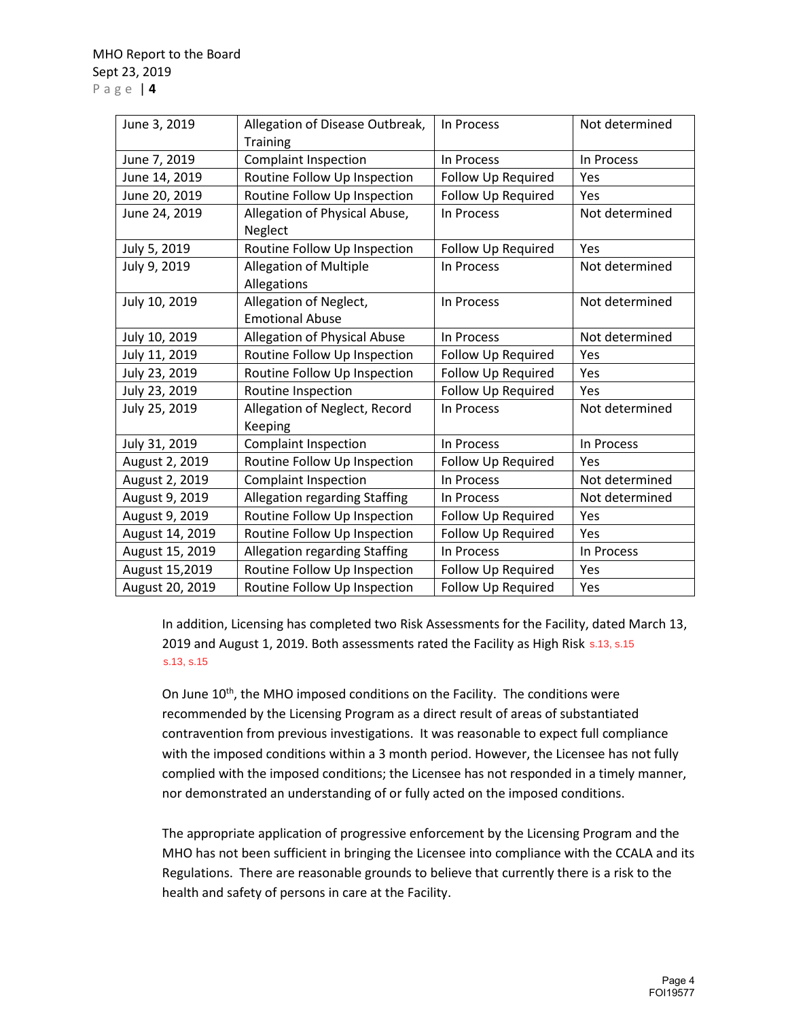| June 3, 2019    | Allegation of Disease Outbreak,          | In Process         | Not determined |
|-----------------|------------------------------------------|--------------------|----------------|
|                 | <b>Training</b>                          |                    |                |
| June 7, 2019    | <b>Complaint Inspection</b>              | In Process         | In Process     |
| June 14, 2019   | Routine Follow Up Inspection             | Follow Up Required | Yes            |
| June 20, 2019   | Routine Follow Up Inspection             | Follow Up Required | Yes            |
| June 24, 2019   | Allegation of Physical Abuse,<br>Neglect | In Process         | Not determined |
| July 5, 2019    | Routine Follow Up Inspection             | Follow Up Required | Yes            |
| July 9, 2019    | <b>Allegation of Multiple</b>            | In Process         | Not determined |
|                 | Allegations                              |                    |                |
| July 10, 2019   | Allegation of Neglect,                   | In Process         | Not determined |
|                 | <b>Emotional Abuse</b>                   |                    |                |
| July 10, 2019   | Allegation of Physical Abuse             | In Process         | Not determined |
| July 11, 2019   | Routine Follow Up Inspection             | Follow Up Required | Yes            |
| July 23, 2019   | Routine Follow Up Inspection             | Follow Up Required | Yes            |
| July 23, 2019   | Routine Inspection                       | Follow Up Required | Yes            |
| July 25, 2019   | Allegation of Neglect, Record            | In Process         | Not determined |
|                 | Keeping                                  |                    |                |
| July 31, 2019   | Complaint Inspection                     | In Process         | In Process     |
| August 2, 2019  | Routine Follow Up Inspection             | Follow Up Required | Yes            |
| August 2, 2019  | <b>Complaint Inspection</b>              | In Process         | Not determined |
| August 9, 2019  | Allegation regarding Staffing            | In Process         | Not determined |
| August 9, 2019  | Routine Follow Up Inspection             | Follow Up Required | Yes            |
| August 14, 2019 | Routine Follow Up Inspection             | Follow Up Required | Yes            |
| August 15, 2019 | Allegation regarding Staffing            | In Process         | In Process     |
| August 15,2019  | Routine Follow Up Inspection             | Follow Up Required | Yes            |
| August 20, 2019 | Routine Follow Up Inspection             | Follow Up Required | Yes            |

In addition, Licensing has completed two Risk Assessments for the Facility, dated March 13, 2019 and August 1, 2019. Both assessments rated the Facility as High Risk s.13, s.15 s.13, s.15

On June 10<sup>th</sup>, the MHO imposed conditions on the Facility. The conditions were recommended by the Licensing Program as a direct result of areas of substantiated contravention from previous investigations. It was reasonable to expect full compliance with the imposed conditions within a 3 month period. However, the Licensee has not fully complied with the imposed conditions; the Licensee has not responded in a timely manner, nor demonstrated an understanding of or fully acted on the imposed conditions.

The appropriate application of progressive enforcement by the Licensing Program and the MHO has not been sufficient in bringing the Licensee into compliance with the CCALA and its Regulations. There are reasonable grounds to believe that currently there is a risk to the health and safety of persons in care at the Facility.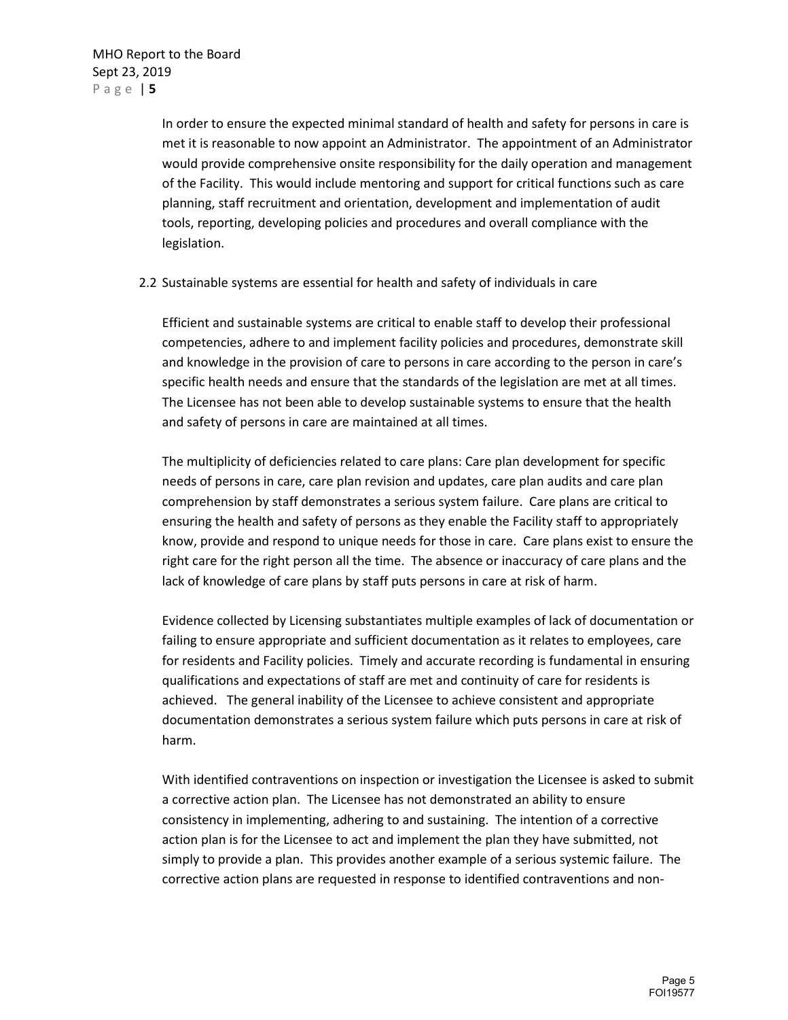In order to ensure the expected minimal standard of health and safety for persons in care is met it is reasonable to now appoint an Administrator. The appointment of an Administrator would provide comprehensive onsite responsibility for the daily operation and management of the Facility. This would include mentoring and support for critical functions such as care planning, staff recruitment and orientation, development and implementation of audit tools, reporting, developing policies and procedures and overall compliance with the legislation.

2.2 Sustainable systems are essential for health and safety of individuals in care

Efficient and sustainable systems are critical to enable staff to develop their professional competencies, adhere to and implement facility policies and procedures, demonstrate skill and knowledge in the provision of care to persons in care according to the person in care's specific health needs and ensure that the standards of the legislation are met at all times. The Licensee has not been able to develop sustainable systems to ensure that the health and safety of persons in care are maintained at all times.

The multiplicity of deficiencies related to care plans: Care plan development for specific needs of persons in care, care plan revision and updates, care plan audits and care plan comprehension by staff demonstrates a serious system failure. Care plans are critical to ensuring the health and safety of persons as they enable the Facility staff to appropriately know, provide and respond to unique needs for those in care. Care plans exist to ensure the right care for the right person all the time. The absence or inaccuracy of care plans and the lack of knowledge of care plans by staff puts persons in care at risk of harm.

Evidence collected by Licensing substantiates multiple examples of lack of documentation or failing to ensure appropriate and sufficient documentation as it relates to employees, care for residents and Facility policies. Timely and accurate recording is fundamental in ensuring qualifications and expectations of staff are met and continuity of care for residents is achieved. The general inability of the Licensee to achieve consistent and appropriate documentation demonstrates a serious system failure which puts persons in care at risk of harm.

With identified contraventions on inspection or investigation the Licensee is asked to submit a corrective action plan. The Licensee has not demonstrated an ability to ensure consistency in implementing, adhering to and sustaining. The intention of a corrective action plan is for the Licensee to act and implement the plan they have submitted, not simply to provide a plan. This provides another example of a serious systemic failure. The corrective action plans are requested in response to identified contraventions and non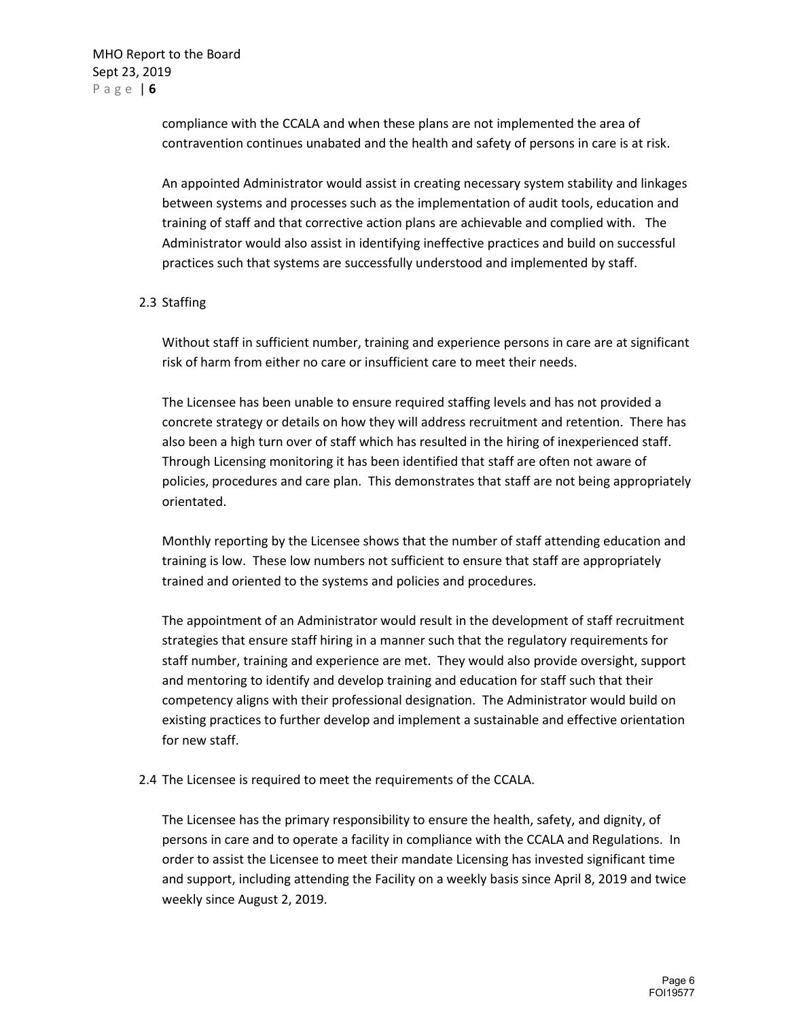compliance with the CCALA and when these plans are not implemented the area of contravention continues unabated and the health and safety of persons in care is at risk.

An appointed Administrator would assist in creating necessary system stability and linkages between systems and processes such as the implementation of audit tools, education and training of staff and that corrective action plans are achievable and complied with. The Administrator would also assist in identifying ineffective practices and build on successful practices such that systems are successfully understood and implemented by staff.

### 2.3 Staffing

Without staff in sufficient number, training and experience persons in care are at significant risk of harm from either no care or insufficient care to meet their needs.

The Licensee has been unable to ensure required staffing levels and has not provided a concrete strategy or details on how they will address recruitment and retention. There has also been a high turn over of staff which has resulted in the hiring of inexperienced staff. Through Licensing monitoring it has been identified that staff are often not aware of policies, procedures and care plan. This demonstrates that staff are not being appropriately orientated.

Monthly reporting by the Licensee shows that the number of staff attending education and training is low. These low numbers not sufficient to ensure that staff are appropriately trained and oriented to the systems and policies and procedures.

The appointment of an Administrator would result in the development of staff recruitment strategies that ensure staff hiring in a manner such that the regulatory requirements for staff number, training and experience are met. They would also provide oversight, support and mentoring to identify and develop training and education for staff such that their competency aligns with their professional designation. The Administrator would build on existing practices to further develop and implement a sustainable and effective orientation for new staff.

2.4 The Licensee is required to meet the requirements of the CCALA.

The Licensee has the primary responsibility to ensure the health, safety, and dignity, of persons in care and to operate a facility in compliance with the CCALA and Regulations. In order to assist the Licensee to meet their mandate Licensing has invested significant time and support, including attending the Facility on a weekly basis since April 8, 2019 and twice weekly since August 2, 2019.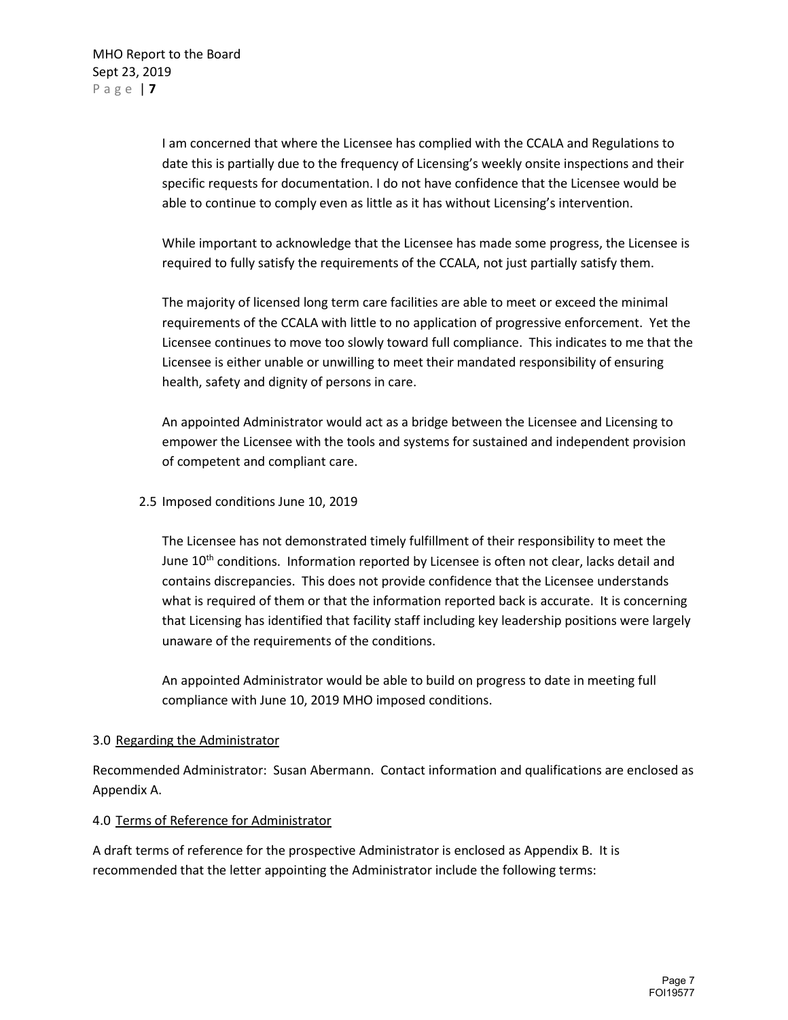I am concerned that where the Licensee has complied with the CCALA and Regulations to date this is partially due to the frequency of Licensing's weekly onsite inspections and their specific requests for documentation. I do not have confidence that the Licensee would be able to continue to comply even as little as it has without Licensing's intervention.

While important to acknowledge that the Licensee has made some progress, the Licensee is required to fully satisfy the requirements of the CCALA, not just partially satisfy them.

The majority of licensed long term care facilities are able to meet or exceed the minimal requirements of the CCALA with little to no application of progressive enforcement. Yet the Licensee continues to move too slowly toward full compliance. This indicates to me that the Licensee is either unable or unwilling to meet their mandated responsibility of ensuring health, safety and dignity of persons in care.

An appointed Administrator would act as a bridge between the Licensee and Licensing to empower the Licensee with the tools and systems for sustained and independent provision of competent and compliant care.

2.5 Imposed conditions June 10, 2019

The Licensee has not demonstrated timely fulfillment of their responsibility to meet the June 10<sup>th</sup> conditions. Information reported by Licensee is often not clear, lacks detail and contains discrepancies. This does not provide confidence that the Licensee understands what is required of them or that the information reported back is accurate. It is concerning that Licensing has identified that facility staff including key leadership positions were largely unaware of the requirements of the conditions.

An appointed Administrator would be able to build on progress to date in meeting full compliance with June 10, 2019 MHO imposed conditions.

### 3.0 Regarding the Administrator

Recommended Administrator: Susan Abermann. Contact information and qualifications are enclosed as Appendix A.

## 4.0 Terms of Reference for Administrator

A draft terms of reference for the prospective Administrator is enclosed as Appendix B. It is recommended that the letter appointing the Administrator include the following terms: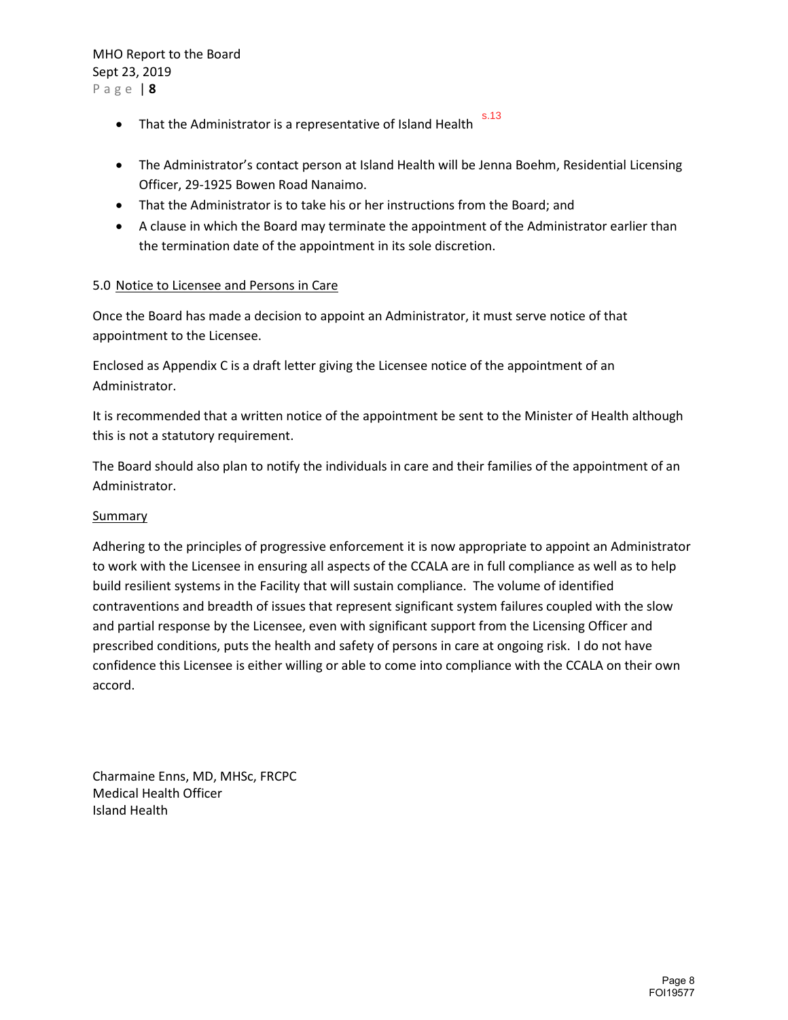### MHO Report to the Board Sept 23, 2019 Page | **8**

- That the Administrator is a representative of Island Health s.13
- The Administrator's contact person at Island Health will be Jenna Boehm, Residential Licensing Officer, 29-1925 Bowen Road Nanaimo.
- That the Administrator is to take his or her instructions from the Board; and
- A clause in which the Board may terminate the appointment of the Administrator earlier than the termination date of the appointment in its sole discretion.

### 5.0 Notice to Licensee and Persons in Care

Once the Board has made a decision to appoint an Administrator, it must serve notice of that appointment to the Licensee.

Enclosed as Appendix C is a draft letter giving the Licensee notice of the appointment of an Administrator.

It is recommended that a written notice of the appointment be sent to the Minister of Health although this is not a statutory requirement.

The Board should also plan to notify the individuals in care and their families of the appointment of an Administrator.

#### **Summary**

Adhering to the principles of progressive enforcement it is now appropriate to appoint an Administrator to work with the Licensee in ensuring all aspects of the CCALA are in full compliance as well as to help build resilient systems in the Facility that will sustain compliance. The volume of identified contraventions and breadth of issues that represent significant system failures coupled with the slow and partial response by the Licensee, even with significant support from the Licensing Officer and prescribed conditions, puts the health and safety of persons in care at ongoing risk. I do not have confidence this Licensee is either willing or able to come into compliance with the CCALA on their own accord.

Charmaine Enns, MD, MHSc, FRCPC Medical Health Officer Island Health